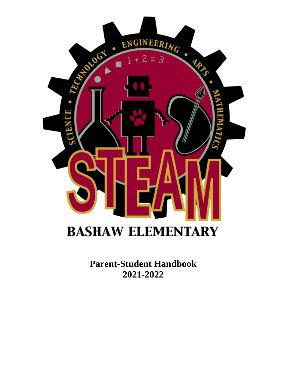

**Parent-Student Handbook 2021-2022**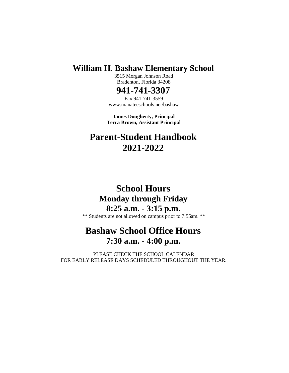## **William H. Bashaw Elementary School**

3515 Morgan Johnson Road Bradenton, Florida 34208

## **941-741-3307**

Fax 941-741-3559 www.manateeschools.net/bashaw

**James Dougherty, Principal Terra Brown, Assistant Principal**

# **Parent-Student Handbook 2021-2022**

# **School Hours Monday through Friday 8:25 a.m. - 3:15 p.m.**

\*\* Students are not allowed on campus prior to 7:55am. \*\*

# **Bashaw School Office Hours 7:30 a.m. - 4:00 p.m.**

PLEASE CHECK THE SCHOOL CALENDAR FOR EARLY RELEASE DAYS SCHEDULED THROUGHOUT THE YEAR.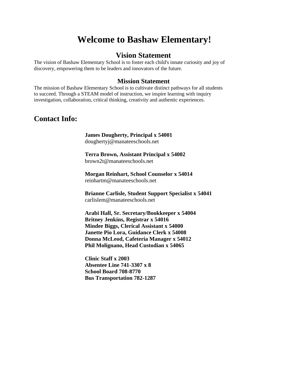# **Welcome to Bashaw Elementary!**

#### **Vision Statement**

The vision of Bashaw Elementary School is to foster each child's innate curiosity and joy of discovery, empowering them to be leaders and innovators of the future.

#### **Mission Statement**

The mission of Bashaw Elementary School is to cultivate distinct pathways for all students to succeed. Through a STEAM model of instruction, we inspire learning with inquiry investigation, collaboration, critical thinking, creativity and authentic experiences.

#### **Contact Info:**

**James Dougherty, Principal x 54001** doughertyj@manateeschools.net

**Terra Brown, Assistant Principal x 54002** brown2t@manateeschools.net

**Morgan Reinhart, School Counselor x 54014** reinhartm@manateeschools.net

**Brianne Carlisle, Student Support Specialist x 54041** carlislem@manateeschools.net

**Arabi Hall, Sr. Secretary/Bookkeeper x 54004 Britney Jenkins, Registrar x 54016 Mindee Biggs, Clerical Assistant x 54000 Janette Pio Lora, Guidance Clerk x 54008 Donna McLeod, Cafeteria Manager x 54012 Phil Molignano, Head Custodian x 54065**

**Clinic Staff x 2003 Absentee Line 741-3307 x 8 School Board 708-8770 Bus Transportation 782-1287**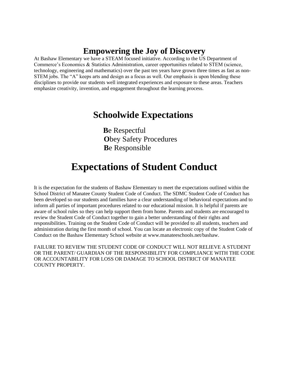# **Empowering the Joy of Discovery**

At Bashaw Elementary we have a STEAM focused initiative. According to the US Department of Commerce's Economics & Statistics Administration, career opportunities related to STEM (science, technology, engineering and mathematics) over the past ten years have grown three times as fast as non-STEM jobs. The "A" keeps arts and design as a focus as well. Our emphasis is upon blending these disciplines to provide our students well integrated experiences and exposure to these areas. Teachers emphasize creativity, invention, and engagement throughout the learning process.

# **Schoolwide Expectations**

**B**e Respectful **Obey Safety Procedures B**e Responsible

# **Expectations of Student Conduct**

It is the expectation for the students of Bashaw Elementary to meet the expectations outlined within the School District of Manatee County Student Code of Conduct. The SDMC Student Code of Conduct has been developed so our students and families have a clear understanding of behavioral expectations and to inform all parties of important procedures related to our educational mission. It is helpful if parents are aware of school rules so they can help support them from home. Parents and students are encouraged to review the Student Code of Conduct together to gain a better understanding of their rights and responsibilities. Training on the Student Code of Conduct will be provided to all students, teachers and administration during the first month of school. You can locate an electronic copy of the Student Code of Conduct on the Bashaw Elementary School website at www.manateeschools.net/bashaw.

FAILURE TO REVIEW THE STUDENT CODE OF CONDUCT WILL NOT RELIEVE A STUDENT OR THE PARENT/ GUARDIAN OF THE RESPONSIBILITY FOR COMPLIANCE WITH THE CODE OR ACCOUNTABILITY FOR LOSS OR DAMAGE TO SCHOOL DISTRICT OF MANATEE COUNTY PROPERTY.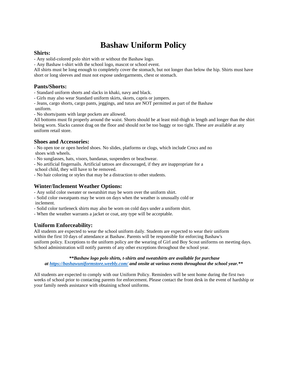# **Bashaw Uniform Policy**

#### **Shirts:**

- Any solid-colored polo shirt with or without the Bashaw logo.

- Any Bashaw t-shirt with the school logo, mascot or school event.

All shirts must be long enough to completely cover the stomach, but not longer than below the hip. Shirts must have short or long sleeves and must not expose undergarments, chest or stomach.

#### **Pants/Shorts:**

- Standard uniform shorts and slacks in khaki, navy and black.

- Girls may also wear Standard uniform skirts, skorts, capris or jumpers.

- Jeans, cargo shorts, cargo pants, jeggings, and tutus are NOT permitted as part of the Bashaw

uniform.

- No shorts/pants with large pockets are allowed.

All bottoms must fit properly around the waist. Shorts should be at least mid-thigh in length and longer than the shirt being worn. Slacks cannot drag on the floor and should not be too baggy or too tight. These are available at any uniform retail store.

#### **Shoes and Accessories:**

- No open toe or open heeled shoes. No slides, platforms or clogs, which include Crocs and no shoes with wheels.

- No sunglasses, hats, visors, bandanas, suspenders or beachwear.
- No artificial fingernails. Artificial tattoos are discouraged, if they are inappropriate for a
- school child, they will have to be removed.
- No hair coloring or styles that may be a distraction to other students.

#### **Winter/Inclement Weather Options:**

- Any solid color sweater or sweatshirt may be worn over the uniform shirt.
- Solid color sweatpants may be worn on days when the weather is unusually cold or inclement.
- Solid color turtleneck shirts may also be worn on cold days under a uniform shirt.
- When the weather warrants a jacket or coat, any type will be acceptable.

#### **Uniform Enforceability:**

All students are expected to wear the school uniform daily. Students are expected to wear their uniform within the first 10 days of attendance at Bashaw. Parents will be responsible for enforcing Bashaw's uniform policy. Exceptions to the uniform policy are the wearing of Girl and Boy Scout uniforms on meeting days. School administration will notify parents of any other exceptions throughout the school year.

*\*\*Bashaw logo polo shirts, t-shirts and sweatshirts are available for purchase at <https://bashawuniformstore.weebly.com/> and onsite at various events throughout the school year.\*\**

All students are expected to comply with our Uniform Policy. Reminders will be sent home during the first two weeks of school prior to contacting parents for enforcement. Please contact the front desk in the event of hardship or your family needs assistance with obtaining school uniforms.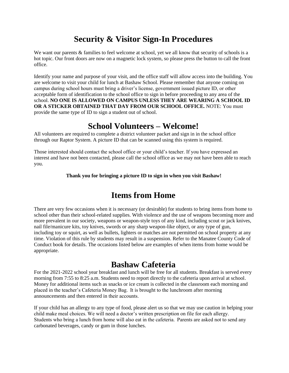# **Security & Visitor Sign-In Procedures**

We want our parents & families to feel welcome at school, yet we all know that security of schools is a hot topic. Our front doors are now on a magnetic lock system, so please press the button to call the front office.

Identify your name and purpose of your visit, and the office staff will allow access into the building. You are welcome to visit your child for lunch at Bashaw School. Please remember that anyone coming on campus during school hours must bring a driver's license, government issued picture ID, or other acceptable form of identification to the school office to sign in before proceeding to any area of the school. **NO ONE IS ALLOWED ON CAMPUS UNLESS THEY ARE WEARING A SCHOOL ID OR A STICKER OBTAINED THAT DAY FROM OUR SCHOOL OFFICE.** NOTE: You must provide the same type of ID to sign a student out of school.

## **School Volunteers – Welcome!**

All volunteers are required to complete a district volunteer packet and sign in in the school office through our Raptor System. A picture ID that can be scanned using this system is required.

Those interested should contact the school office or your child's teacher. If you have expressed an interest and have not been contacted, please call the school office as we may not have been able to reach you.

#### **Thank you for bringing a picture ID to sign in when you visit Bashaw!**

## **Items from Home**

There are very few occasions when it is necessary (or desirable) for students to bring items from home to school other than their school-related supplies. With violence and the use of weapons becoming more and more prevalent in our society, weapons or weapon-style toys of any kind, including scout or jack knives, nail file/manicure kits, toy knives, swords or any sharp weapon-like object, or any type of gun, including toy or squirt, as well as bullets, lighters or matches are not permitted on school property at any time. Violation of this rule by students may result in a suspension. Refer to the Manatee County Code of Conduct book for details. The occasions listed below are examples of when items from home would be appropriate.

## **Bashaw Cafeteria**

For the 2021-2022 school year breakfast and lunch will be free for all students. Breakfast is served every morning from 7:55 to 8:25 a.m. Students need to report directly to the cafeteria upon arrival at school. Money for additional items such as snacks or ice cream is collected in the classroom each morning and placed in the teacher's Cafeteria Money Bag.  It is brought to the lunchroom after morning announcements and then entered in their accounts. 

If your child has an allergy to any type of food, please alert us so that we may use caution in helping your child make meal choices. We will need a doctor's written prescription on file for each allergy.   Students who bring a lunch from home will also eat in the cafeteria.  Parents are asked not to send any carbonated beverages, candy or gum in those lunches.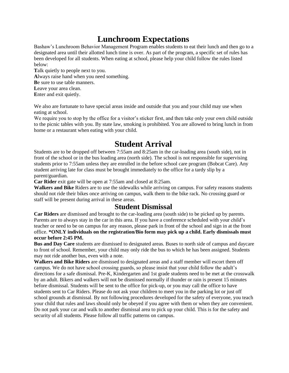# **Lunchroom Expectations**

Bashaw's Lunchroom Behavior Management Program enables students to eat their lunch and then go to a designated area until their allotted lunch time is over. As part of the program, a specific set of rules has been developed for all students. When eating at school, please help your child follow the rules listed below:

**T**alk quietly to people next to you. **A**lways raise hand when you need something. **B**e sure to use table manners. Leave your area clean. **E**nter and exit quietly.

We also are fortunate to have special areas inside and outside that you and your child may use when eating at school.

We require you to stop by the office for a visitor's sticker first, and then take only your own child outside to the picnic tables with you. By state law, smoking is prohibited. You are allowed to bring lunch in from home or a restaurant when eating with your child.

# **Student Arrival**

Students are to be dropped off between 7:55am and 8:25am in the car-loading area (south side), not in front of the school or in the bus loading area (north side). The school is not responsible for supervising students prior to 7:55am unless they are enrolled in the before school care program (Bobcat Care). Any student arriving late for class must be brought immediately to the office for a tardy slip by a parent/guardian.

**Car Rider** exit gate will be open at 7:55am and closed at 8:25am.

**Walkers and Bike** Riders are to use the sidewalks while arriving on campus. For safety reasons students should not ride their bikes once arriving on campus, walk them to the bike rack. No crossing guard or staff will be present during arrival in these areas.

### **Student Dismissal**

**Car Riders** are dismissed and brought to the car-loading area (south side) to be picked up by parents. Parents are to always stay in the car in this area. If you have a conference scheduled with your child's teacher or need to be on campus for any reason, please park in front of the school and sign in at the front office. **\*ONLY individuals on the registration/Bio form may pick up a child. Early dismissals must occur before 2:45 PM.**

**Bus and Day Care** students are dismissed to designated areas. Buses to north side of campus and daycare to front of school. Remember, your child may only ride the bus to which he has been assigned. Students may not ride another bus, even with a note.

**Walkers and Bike Riders** are dismissed to designated areas and a staff member will escort them off campus. We do not have school crossing guards, so please insist that your child follow the adult's directions for a safe dismissal. Pre-K, Kindergarten and 1st grade students need to be met at the crosswalk by an adult. Bikers and walkers will not be dismissed normally if thunder or rain is present 15 minutes before dismissal. Students will be sent to the office for pick-up, or you may call the office to have students sent to Car Riders. Please do not ask your children to meet you in the parking lot or just off school grounds at dismissal. By not following procedures developed for the safety of everyone, you teach your child that rules and laws should only be obeyed if you agree with them or when they are convenient. Do not park your car and walk to another dismissal area to pick up your child. This is for the safety and security of all students. Please follow all traffic patterns on campus.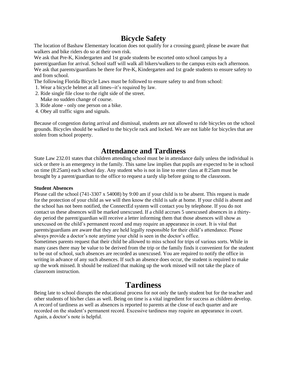## **Bicycle Safety**

The location of Bashaw Elementary location does not qualify for a crossing guard; please be aware that walkers and bike riders do so at their own risk.

We ask that Pre-K, Kindergarten and 1st grade students be escorted onto school campus by a parent/guardian for arrival. School staff will walk all bikers/walkers to the campus exits each afternoon. We ask that parents/guardians be there for Pre-K, Kindergarten and 1st grade students to ensure safety to and from school.

The following Florida Bicycle Laws must be followed to ensure safety to and from school:

- 1. Wear a bicycle helmet at all times--it's required by law.
- 2. Ride single file close to the right side of the street.
- Make no sudden change of course.
- 3. Ride alone only one person on a bike.
- 4. Obey all traffic signs and signals.

Because of congestion during arrival and dismissal, students are not allowed to ride bicycles on the school grounds. Bicycles should be walked to the bicycle rack and locked. We are not liable for bicycles that are stolen from school property.

### **Attendance and Tardiness**

State Law 232.01 states that children attending school must be in attendance daily unless the individual is sick or there is an emergency in the family. This same law implies that pupils are expected to be in school on time (8:25am) each school day. Any student who is not in line to enter class at 8:25am must be brought by a parent/guardian to the office to request a tardy slip before going to the classroom.

#### **Student Absences**

Please call the school (741-3307 x 54008) by 9:00 am if your child is to be absent. This request is made for the protection of your child as we will then know the child is safe at home. If your child is absent and the school has not been notified, the ConnectEd system will contact you by telephone. If you do not contact us these absences will be marked unexcused. If a child accrues 5 unexcused absences in a thirtyday period the parent/guardian will receive a letter informing them that those absences will show as unexcused on the child's permanent record and may require an appearance in court. It is vital that parents/guardians are aware that they are held legally responsible for their child's attendance. Please always provide a doctor's note anytime your child is seen in the doctor's office.

Sometimes parents request that their child be allowed to miss school for trips of various sorts. While in many cases there may be value to be derived from the trip or the family finds it convenient for the student to be out of school, such absences are recorded as unexcused. You are required to notify the office in writing in advance of any such absences. If such an absence does occur, the student is required to make up the work missed. It should be realized that making up the work missed will not take the place of classroom instruction.

## **Tardiness**

Being late to school disrupts the educational process for not only the tardy student but for the teacher and other students of his/her class as well. Being on time is a vital ingredient for success as children develop. A record of tardiness as well as absences is reported to parents at the close of each quarter and are recorded on the student's permanent record. Excessive tardiness may require an appearance in court. Again, a doctor's note is helpful.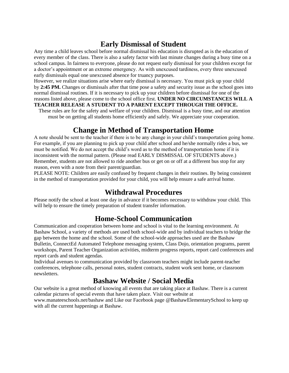## **Early Dismissal of Student**

Any time a child leaves school before normal dismissal his education is disrupted as is the education of every member of the class. There is also a safety factor with last minute changes during a busy time on a school campus. In fairness to everyone, please do not request early dismissal for your children except for a doctor's appointment or an extreme emergency. As with unexcused tardiness, every three unexcused early dismissals equal one unexcused absence for truancy purposes.

However, we realize situations arise where early dismissal is necessary. You must pick up your child by **2:45 PM.** Changes or dismissals after that time pose a safety and security issue as the school goes into normal dismissal routines. If it is necessary to pick up your children before dismissal for one of the reasons listed above, please come to the school office first. **UNDER NO CIRCUMSTANCES WILL A TEACHER RELEASE A STUDENT TO A PARENT EXCEPT THROUGH THE OFFICE.**

These rules are for the safety and welfare of your children. Dismissal is a busy time, and our attention must be on getting all students home efficiently and safely. We appreciate your cooperation.

## **Change in Method of Transportation Home**

A note should be sent to the teacher if there is to be any change in your child's transportation going home. For example, if you are planning to pick up your child after school and he/she normally rides a bus, we must be notified. We do not accept the child's word as to the method of transportation home if it is inconsistent with the normal pattern. (Please read EARLY DISMISSAL OF STUDENTS above.) Remember, students are not allowed to ride another bus or get on or off at a different bus stop for any reason, even with a note from their parent/guardian.

PLEASE NOTE: Children are easily confused by frequent changes in their routines. By being consistent in the method of transportation provided for your child, you will help ensure a safe arrival home.

## **Withdrawal Procedures**

Please notify the school at least one day in advance if it becomes necessary to withdraw your child. This will help to ensure the timely preparation of student transfer information.

### **Home-School Communication**

Communication and cooperation between home and school is vital to the learning environment. At Bashaw School, a variety of methods are used both school-wide and by individual teachers to bridge the gap between the home and the school. Some of the school-wide approaches used are the Bashaw Bulletin, ConnectEd Automated Telephone messaging system, Class Dojo, orientation programs, parent workshops, Parent Teacher Organization activities, midterm progress reports, report card conferences and report cards and student agendas.

Individual avenues to communication provided by classroom teachers might include parent-teacher conferences, telephone calls, personal notes, student contracts, student work sent home, or classroom newsletters.

### **Bashaw Website / Social Media**

Our website is a great method of knowing all events that are taking place at Bashaw. There is a current calendar pictures of special events that have taken place. Visit our website at

www.manateeschools.net/bashaw and Like our Facebook page @BashawElementarySchool to keep up with all the current happenings at Bashaw.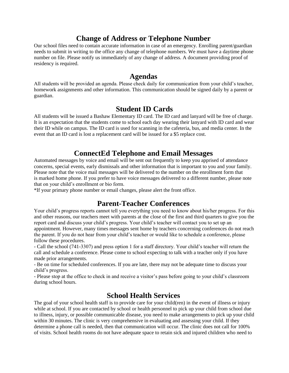## **Change of Address or Telephone Number**

Our school files need to contain accurate information in case of an emergency. Enrolling parent/guardian needs to submit in writing to the office any change of telephone numbers. We must have a daytime phone number on file. Please notify us immediately of any change of address. A document providing proof of residency is required.

#### **Agendas**

All students will be provided an agenda. Please check daily for communication from your child's teacher, homework assignments and other information. This communication should be signed daily by a parent or guardian.

### **Student ID Cards**

All students will be issued a Bashaw Elementary ID card. The ID card and lanyard will be free of charge. It is an expectation that the students come to school each day wearing their lanyard with ID card and wear their ID while on campus. The ID card is used for scanning in the cafeteria, bus, and media center. In the event that an ID card is lost a replacement card will be issued for a \$5 replace cost.

## **ConnectEd Telephone and Email Messages**

Automated messages by voice and email will be sent out frequently to keep you apprised of attendance concerns, special events, early dismissals and other information that is important to you and your family. Please note that the voice mail messages will be delivered to the number on the enrollment form that is marked home phone. If you prefer to have voice messages delivered to a different number, please note that on your child's enrollment or bio form.

\*If your primary phone number or email changes, please alert the front office.

### **Parent-Teacher Conferences**

Your child's progress reports cannot tell you everything you need to know about his/her progress. For this and other reasons, our teachers meet with parents at the close of the first and third quarters to give you the report card and discuss your child's progress. Your child's teacher will contact you to set up an appointment. However, many times messages sent home by teachers concerning conferences do not reach the parent. If you do not hear from your child's teacher or would like to schedule a conference, please follow these procedures.

- Call the school (741-3307) and press option 1 for a staff directory. Your child's teacher will return the call and schedule a conference. Please come to school expecting to talk with a teacher only if you have made prior arrangements.

- Be on time for scheduled conferences. If you are late, there may not be adequate time to discuss your child's progress.

- Please stop at the office to check in and receive a visitor's pass before going to your child's classroom during school hours.

### **School Health Services**

The goal of your school health staff is to provide care for your child(ren) in the event of illness or injury while at school. If you are contacted by school or health personnel to pick up your child from school due to illness, injury, or possible communicable disease, you need to make arrangements to pick up your child within 30 minutes. The clinic is very comprehensive in evaluating and assessing your child. If they determine a phone call is needed, then that communication will occur. The clinic does not call for 100% of visits. School health rooms do not have adequate space to retain sick and injured children who need to